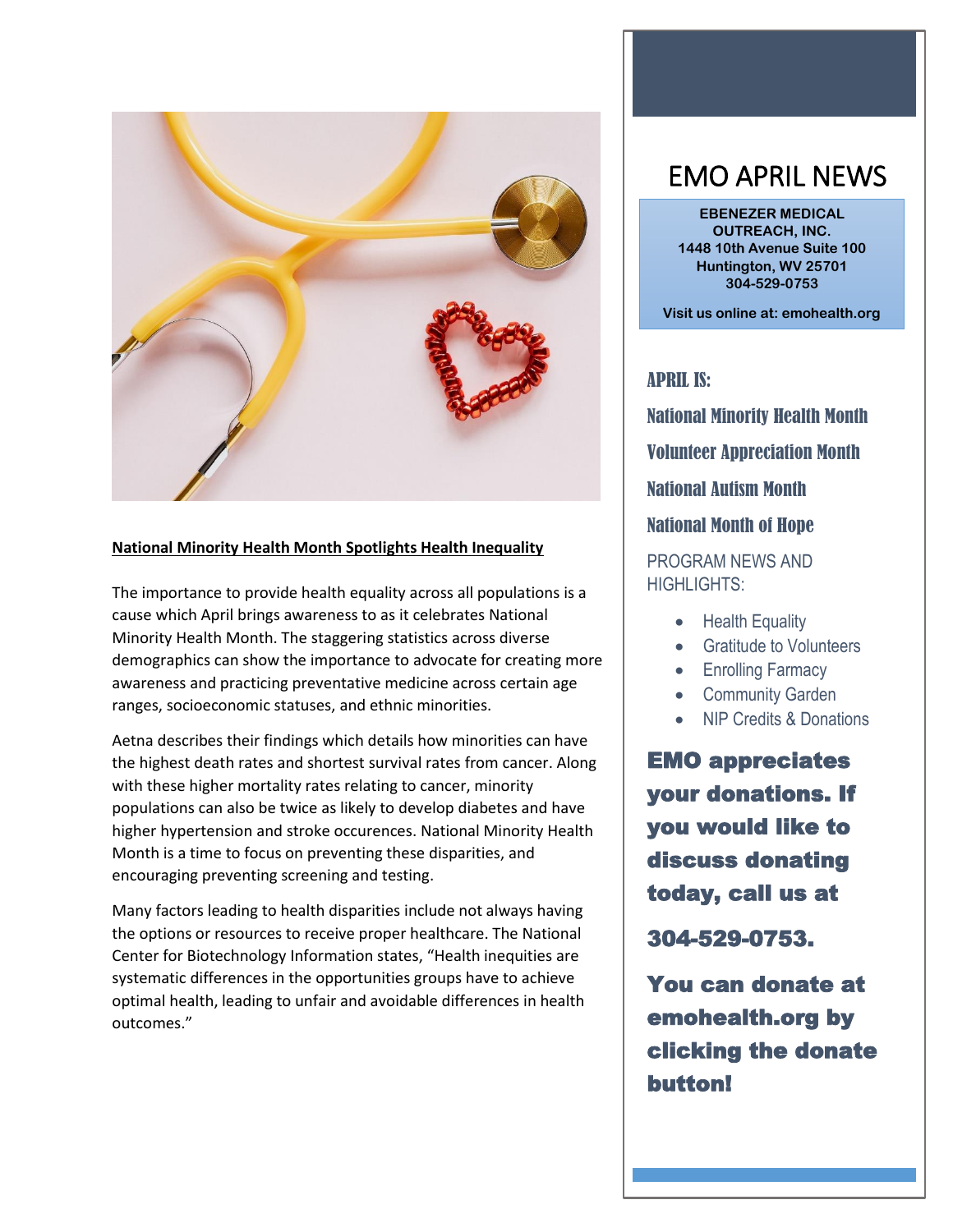

#### **National Minority Health Month Spotlights Health Inequality**

The importance to provide health equality across all populations is a cause which April brings awareness to as it celebrates National Minority Health Month. The staggering statistics across diverse demographics can show the importance to advocate for creating more awareness and practicing preventative medicine across certain age ranges, socioeconomic statuses, and ethnic minorities.

Aetna describes their findings which details how minorities can have the highest death rates and shortest survival rates from cancer. Along with these higher mortality rates relating to cancer, minority populations can also be twice as likely to develop diabetes and have higher hypertension and stroke occurences. National Minority Health Month is a time to focus on preventing these disparities, and encouraging preventing screening and testing.

Many factors leading to health disparities include not always having the options or resources to receive proper healthcare. The National Center for Biotechnology Information states, "Health inequities are systematic differences in the opportunities groups have to achieve optimal health, leading to unfair and avoidable differences in health outcomes."

# EMO APRIL NEWS

**EBENEZER MEDICAL OUTREACH, INC. 1448 10th Avenue Suite 100 Huntington, WV 25701 304-529-0753**

**Visit us online at: emohealth.org** 

APRIL IS:

National Minority Health Month

Volunteer Appreciation Month

National Autism Month

#### National Month of Hope

### PROGRAM NEWS AND HIGHLIGHTS:

- Health Equality
- Gratitude to Volunteers
- Enrolling Farmacy
- Community Garden
- NIP Credits & Donations

EMO appreciates your donations. If you would like to discuss donating today, call us at

304-529-0753.

You can donate at emohealth.org by clicking the donate button!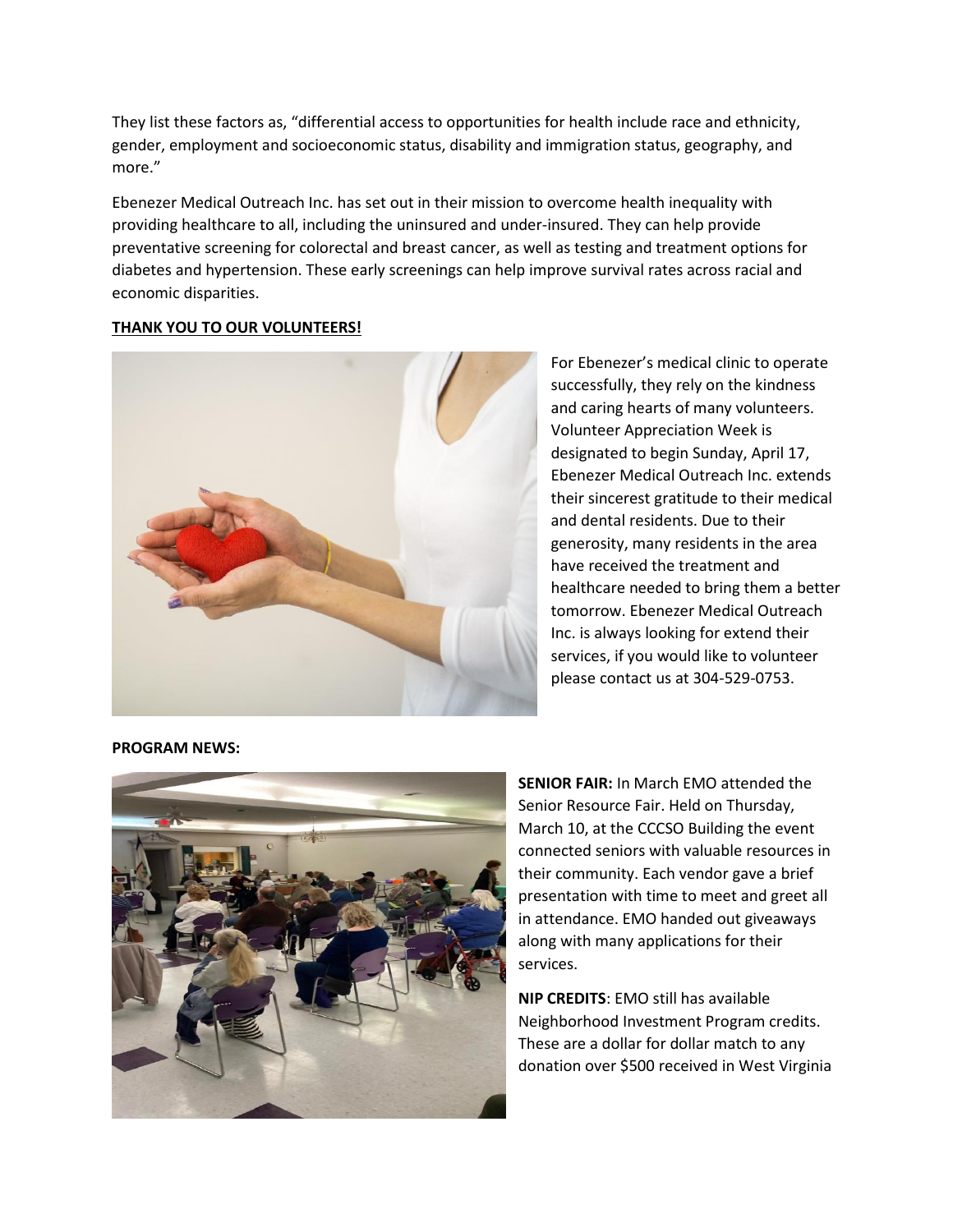They list these factors as, "differential access to opportunities for health include race and ethnicity, gender, employment and socioeconomic status, disability and immigration status, geography, and more."

Ebenezer Medical Outreach Inc. has set out in their mission to overcome health inequality with providing healthcare to all, including the uninsured and under-insured. They can help provide preventative screening for colorectal and breast cancer, as well as testing and treatment options for diabetes and hypertension. These early screenings can help improve survival rates across racial and economic disparities.

#### **THANK YOU TO OUR VOLUNTEERS!**



For Ebenezer's medical clinic to operate successfully, they rely on the kindness and caring hearts of many volunteers. Volunteer Appreciation Week is designated to begin Sunday, April 17, Ebenezer Medical Outreach Inc. extends their sincerest gratitude to their medical and dental residents. Due to their generosity, many residents in the area have received the treatment and healthcare needed to bring them a better tomorrow. Ebenezer Medical Outreach Inc. is always looking for extend their services, if you would like to volunteer please contact us at 304-529-0753.

**PROGRAM NEWS:**



**SENIOR FAIR:** In March EMO attended the Senior Resource Fair. Held on Thursday, March 10, at the CCCSO Building the event connected seniors with valuable resources in their community. Each vendor gave a brief presentation with time to meet and greet all in attendance. EMO handed out giveaways along with many applications for their services.

**NIP CREDITS**: EMO still has available Neighborhood Investment Program credits. These are a dollar for dollar match to any donation over \$500 received in West Virginia